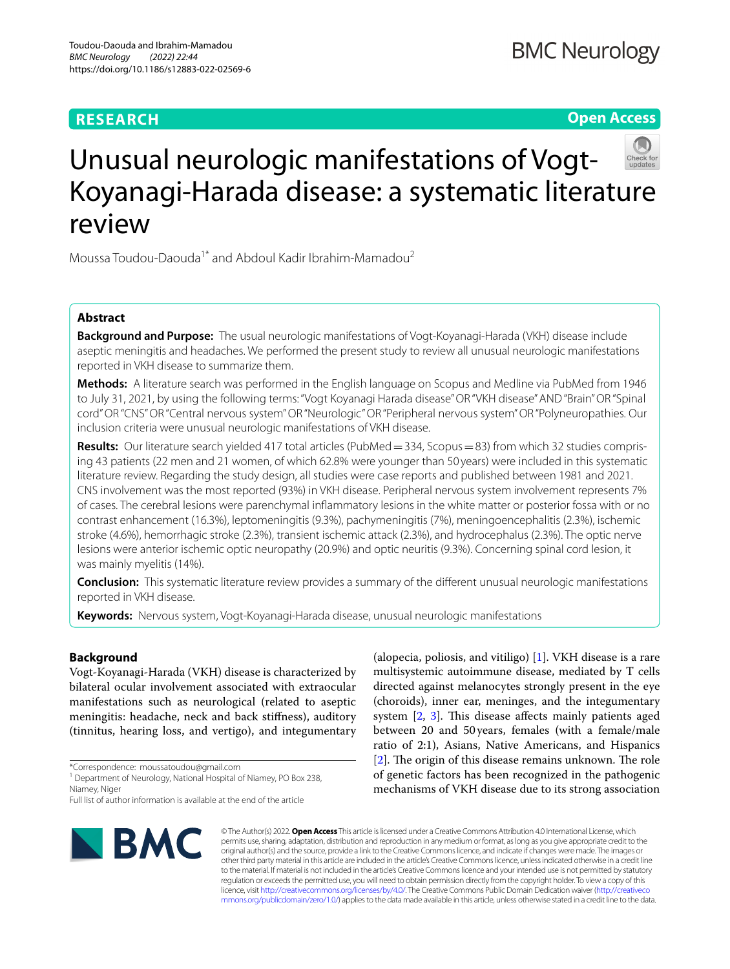# **RESEARCH**

# **Open Access**



# Unusual neurologic manifestations of Vogt-Koyanagi-Harada disease: a systematic literature review

Moussa Toudou‑Daouda1\* and Abdoul Kadir Ibrahim‑Mamadou2

# **Abstract**

**Background and Purpose:** The usual neurologic manifestations of Vogt-Koyanagi-Harada (VKH) disease include aseptic meningitis and headaches. We performed the present study to review all unusual neurologic manifestations reported in VKH disease to summarize them.

**Methods:** A literature search was performed in the English language on Scopus and Medline via PubMed from 1946 to July 31, 2021, by using the following terms: "Vogt Koyanagi Harada disease" OR "VKH disease" AND "Brain" OR "Spinal cord" OR "CNS" OR "Central nervous system" OR "Neurologic" OR "Peripheral nervous system" OR "Polyneuropathies. Our inclusion criteria were unusual neurologic manifestations of VKH disease.

Results: Our literature search yielded 417 total articles (PubMed = 334, Scopus = 83) from which 32 studies comprising 43 patients (22 men and 21 women, of which 62.8% were younger than 50 years) were included in this systematic literature review. Regarding the study design, all studies were case reports and published between 1981 and 2021. CNS involvement was the most reported (93%) in VKH disease. Peripheral nervous system involvement represents 7% of cases. The cerebral lesions were parenchymal infammatory lesions in the white matter or posterior fossa with or no contrast enhancement (16.3%), leptomeningitis (9.3%), pachymeningitis (7%), meningoencephalitis (2.3%), ischemic stroke (4.6%), hemorrhagic stroke (2.3%), transient ischemic attack (2.3%), and hydrocephalus (2.3%). The optic nerve lesions were anterior ischemic optic neuropathy (20.9%) and optic neuritis (9.3%). Concerning spinal cord lesion, it was mainly myelitis (14%).

**Conclusion:** This systematic literature review provides a summary of the diferent unusual neurologic manifestations reported in VKH disease.

**Keywords:** Nervous system, Vogt-Koyanagi-Harada disease, unusual neurologic manifestations

# **Background**

Vogt-Koyanagi-Harada (VKH) disease is characterized by bilateral ocular involvement associated with extraocular manifestations such as neurological (related to aseptic meningitis: headache, neck and back stifness), auditory (tinnitus, hearing loss, and vertigo), and integumentary

\*Correspondence: moussatoudou@gmail.com

<sup>1</sup> Department of Neurology, National Hospital of Niamey, PO Box 238, Niamey, Niger

Full list of author information is available at the end of the article



(alopecia, poliosis, and vitiligo) [[1\]](#page-6-0). VKH disease is a rare multisystemic autoimmune disease, mediated by T cells directed against melanocytes strongly present in the eye (choroids), inner ear, meninges, and the integumentary system  $[2, 3]$  $[2, 3]$  $[2, 3]$  $[2, 3]$ . This disease affects mainly patients aged between 20 and 50years, females (with a female/male ratio of 2:1), Asians, Native Americans, and Hispanics [[2\]](#page-6-1). The origin of this disease remains unknown. The role of genetic factors has been recognized in the pathogenic mechanisms of VKH disease due to its strong association

© The Author(s) 2022. **Open Access** This article is licensed under a Creative Commons Attribution 4.0 International License, which permits use, sharing, adaptation, distribution and reproduction in any medium or format, as long as you give appropriate credit to the original author(s) and the source, provide a link to the Creative Commons licence, and indicate if changes were made. The images or other third party material in this article are included in the article's Creative Commons licence, unless indicated otherwise in a credit line to the material. If material is not included in the article's Creative Commons licence and your intended use is not permitted by statutory regulation or exceeds the permitted use, you will need to obtain permission directly from the copyright holder. To view a copy of this licence, visit [http://creativecommons.org/licenses/by/4.0/.](http://creativecommons.org/licenses/by/4.0/) The Creative Commons Public Domain Dedication waiver ([http://creativeco](http://creativecommons.org/publicdomain/zero/1.0/) [mmons.org/publicdomain/zero/1.0/](http://creativecommons.org/publicdomain/zero/1.0/)) applies to the data made available in this article, unless otherwise stated in a credit line to the data.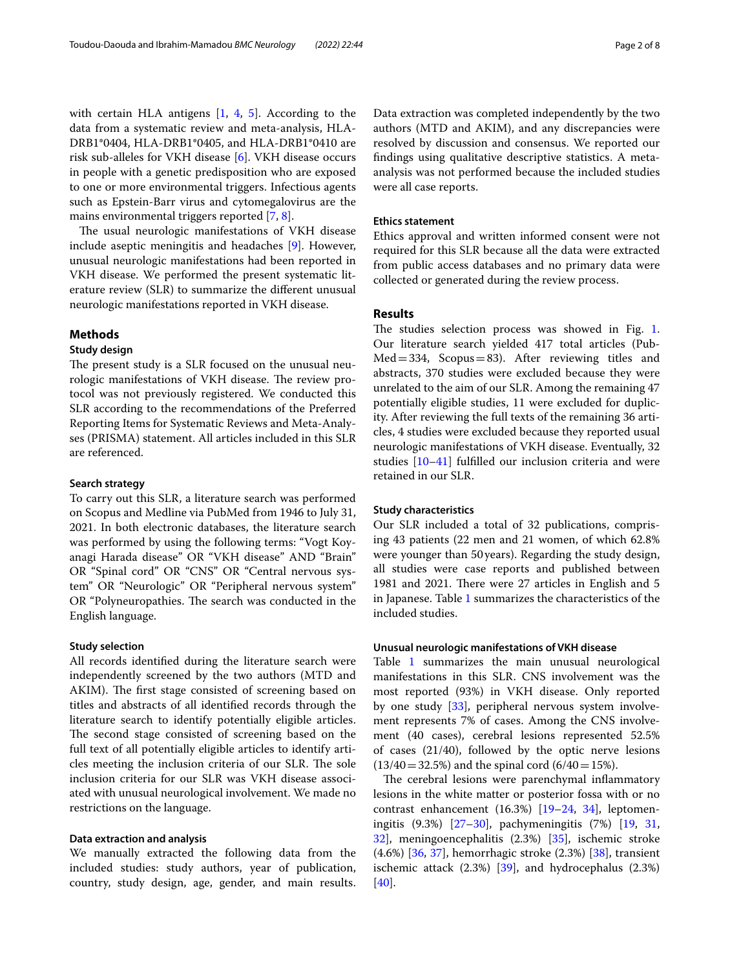with certain HLA antigens [\[1](#page-6-0), [4,](#page-6-3) [5\]](#page-6-4). According to the data from a systematic review and meta-analysis, HLA-DRB1\*0404, HLA-DRB1\*0405, and HLA-DRB1\*0410 are risk sub-alleles for VKH disease [\[6](#page-6-5)]. VKH disease occurs in people with a genetic predisposition who are exposed to one or more environmental triggers. Infectious agents such as Epstein-Barr virus and cytomegalovirus are the mains environmental triggers reported [\[7](#page-6-6), [8\]](#page-6-7).

The usual neurologic manifestations of VKH disease include aseptic meningitis and headaches [[9\]](#page-6-8). However, unusual neurologic manifestations had been reported in VKH disease. We performed the present systematic literature review (SLR) to summarize the diferent unusual neurologic manifestations reported in VKH disease.

# **Methods**

# **Study design**

The present study is a SLR focused on the unusual neurologic manifestations of VKH disease. The review protocol was not previously registered. We conducted this SLR according to the recommendations of the Preferred Reporting Items for Systematic Reviews and Meta-Analyses (PRISMA) statement. All articles included in this SLR are referenced.

# **Search strategy**

To carry out this SLR, a literature search was performed on Scopus and Medline via PubMed from 1946 to July 31, 2021. In both electronic databases, the literature search was performed by using the following terms: "Vogt Koyanagi Harada disease" OR "VKH disease" AND "Brain" OR "Spinal cord" OR "CNS" OR "Central nervous system" OR "Neurologic" OR "Peripheral nervous system" OR "Polyneuropathies. The search was conducted in the English language.

# **Study selection**

All records identifed during the literature search were independently screened by the two authors (MTD and AKIM). The first stage consisted of screening based on titles and abstracts of all identifed records through the literature search to identify potentially eligible articles. The second stage consisted of screening based on the full text of all potentially eligible articles to identify articles meeting the inclusion criteria of our SLR. The sole inclusion criteria for our SLR was VKH disease associated with unusual neurological involvement. We made no restrictions on the language.

# **Data extraction and analysis**

We manually extracted the following data from the included studies: study authors, year of publication, country, study design, age, gender, and main results. Data extraction was completed independently by the two authors (MTD and AKIM), and any discrepancies were resolved by discussion and consensus. We reported our fndings using qualitative descriptive statistics. A metaanalysis was not performed because the included studies were all case reports.

# **Ethics statement**

Ethics approval and written informed consent were not required for this SLR because all the data were extracted from public access databases and no primary data were collected or generated during the review process.

# **Results**

The studies selection process was showed in Fig. [1](#page-2-0). Our literature search yielded 417 total articles (Pub-Med=334, Scopus=83). After reviewing titles and abstracts, 370 studies were excluded because they were unrelated to the aim of our SLR. Among the remaining 47 potentially eligible studies, 11 were excluded for duplicity. After reviewing the full texts of the remaining 36 articles, 4 studies were excluded because they reported usual neurologic manifestations of VKH disease. Eventually, 32 studies [\[10](#page-6-9)–[41\]](#page-7-0) fulflled our inclusion criteria and were retained in our SLR.

#### **Study characteristics**

Our SLR included a total of 32 publications, comprising 43 patients (22 men and 21 women, of which 62.8% were younger than 50years). Regarding the study design, all studies were case reports and published between 1981 and 2021. There were 27 articles in English and 5 in Japanese. Table [1](#page-3-0) summarizes the characteristics of the included studies.

### **Unusual neurologic manifestations of VKH disease**

Table [1](#page-3-0) summarizes the main unusual neurological manifestations in this SLR. CNS involvement was the most reported (93%) in VKH disease. Only reported by one study [[33\]](#page-7-1), peripheral nervous system involvement represents 7% of cases. Among the CNS involvement (40 cases), cerebral lesions represented 52.5% of cases (21/40), followed by the optic nerve lesions  $(13/40=32.5%)$  and the spinal cord  $(6/40=15%).$ 

The cerebral lesions were parenchymal inflammatory lesions in the white matter or posterior fossa with or no contrast enhancement (16.3%) [[19](#page-6-10)[–24](#page-6-11), [34\]](#page-7-2), leptomeningitis (9.3%) [[27](#page-7-3)[–30](#page-7-4)], pachymeningitis (7%) [\[19](#page-6-10), [31](#page-7-5), [32\]](#page-7-6), meningoencephalitis (2.3%) [[35](#page-7-7)], ischemic stroke (4.6%) [\[36,](#page-7-8) [37\]](#page-7-9), hemorrhagic stroke (2.3%) [\[38\]](#page-7-10), transient ischemic attack (2.3%) [\[39](#page-7-11)], and hydrocephalus (2.3%) [[40\]](#page-7-12).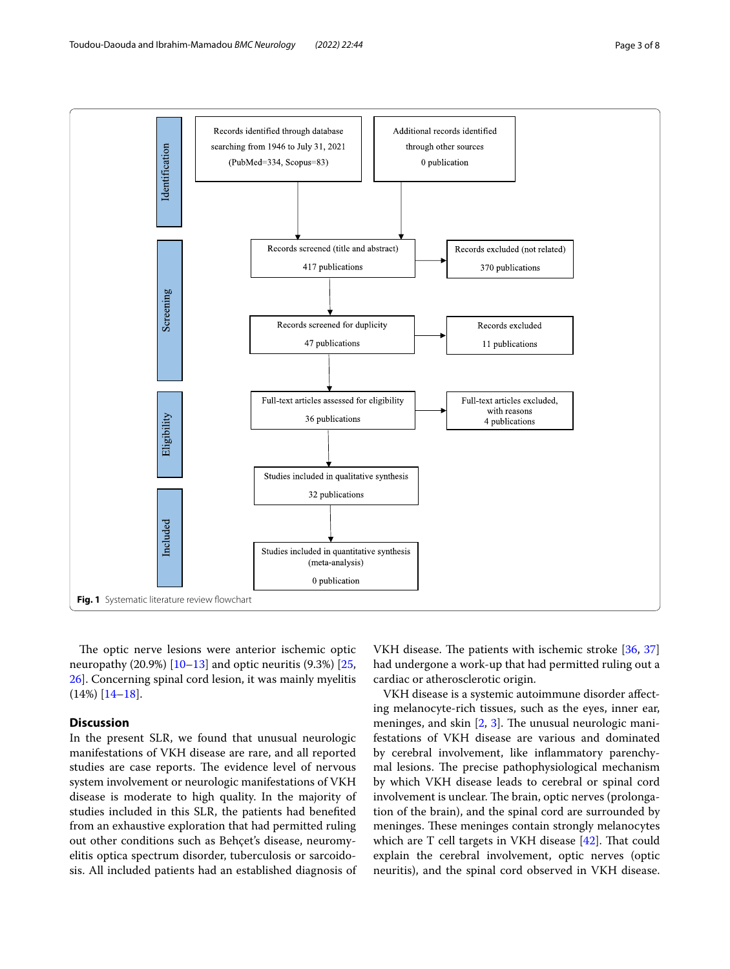

<span id="page-2-0"></span>The optic nerve lesions were anterior ischemic optic neuropathy  $(20.9\%)$  [[10](#page-6-9)[–13](#page-6-12)] and optic neuritis  $(9.3\%)$  [\[25](#page-7-13), [26\]](#page-7-14). Concerning spinal cord lesion, it was mainly myelitis (14%) [\[14](#page-6-13)[–18\]](#page-6-14).

# **Discussion**

In the present SLR, we found that unusual neurologic manifestations of VKH disease are rare, and all reported studies are case reports. The evidence level of nervous system involvement or neurologic manifestations of VKH disease is moderate to high quality. In the majority of studies included in this SLR, the patients had benefted from an exhaustive exploration that had permitted ruling out other conditions such as Behçet's disease, neuromyelitis optica spectrum disorder, tuberculosis or sarcoidosis. All included patients had an established diagnosis of VKH disease. The patients with ischemic stroke  $[36, 37]$  $[36, 37]$  $[36, 37]$  $[36, 37]$ had undergone a work-up that had permitted ruling out a cardiac or atherosclerotic origin.

VKH disease is a systemic autoimmune disorder afecting melanocyte-rich tissues, such as the eyes, inner ear, meninges, and skin  $[2, 3]$  $[2, 3]$  $[2, 3]$  $[2, 3]$ . The unusual neurologic manifestations of VKH disease are various and dominated by cerebral involvement, like infammatory parenchymal lesions. The precise pathophysiological mechanism by which VKH disease leads to cerebral or spinal cord involvement is unclear. The brain, optic nerves (prolongation of the brain), and the spinal cord are surrounded by meninges. These meninges contain strongly melanocytes which are T cell targets in VKH disease  $[42]$ . That could explain the cerebral involvement, optic nerves (optic neuritis), and the spinal cord observed in VKH disease.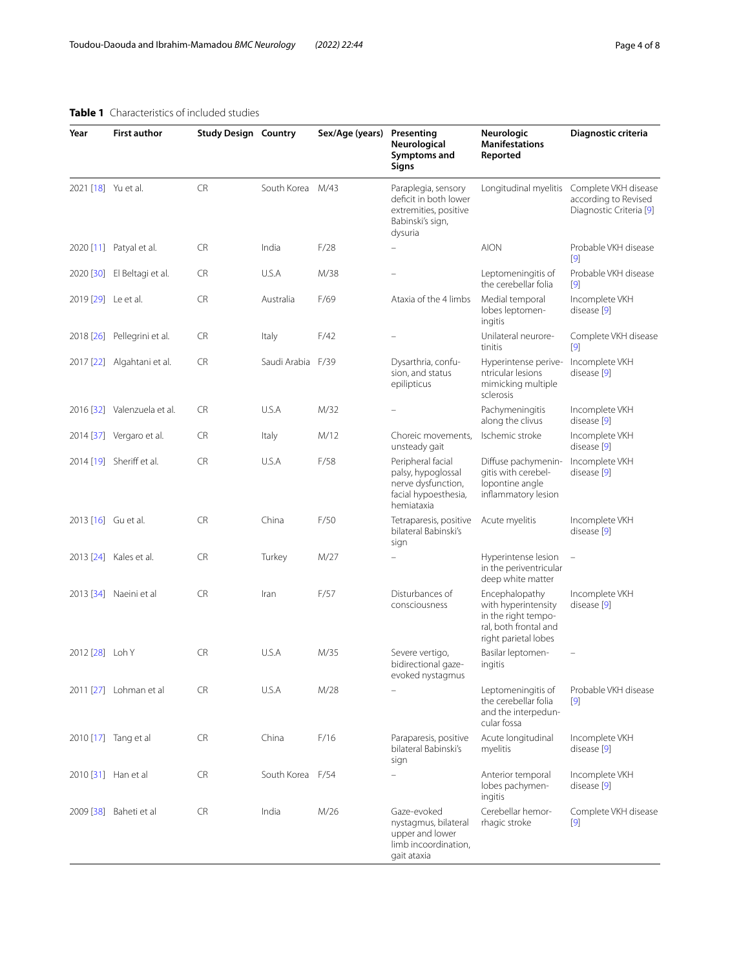# <span id="page-3-0"></span>**Table 1** Characteristics of included studies

| Year                | <b>First author</b>         | <b>Study Design Country</b> |              | Sex/Age (years) | Presenting<br>Neurological<br>Symptoms and<br>Signs                                                  | <b>Neurologic</b><br><b>Manifestations</b><br>Reported                                                        | Diagnostic criteria                                                                           |
|---------------------|-----------------------------|-----------------------------|--------------|-----------------|------------------------------------------------------------------------------------------------------|---------------------------------------------------------------------------------------------------------------|-----------------------------------------------------------------------------------------------|
| 2021 [18] Yu et al. |                             | <b>CR</b>                   | South Korea  | M/43            | Paraplegia, sensory<br>deficit in both lower<br>extremities, positive<br>Babinski's sign,<br>dysuria |                                                                                                               | Longitudinal myelitis Complete VKH disease<br>according to Revised<br>Diagnostic Criteria [9] |
|                     | 2020 [11] Patyal et al.     | <b>CR</b>                   | India        | F/28            |                                                                                                      | <b>AION</b>                                                                                                   | Probable VKH disease<br>$[9]$                                                                 |
|                     | 2020 [30] El Beltagi et al. | <b>CR</b>                   | U.S.A        | M/38            |                                                                                                      | Leptomeningitis of<br>the cerebellar folia                                                                    | Probable VKH disease<br>[9]                                                                   |
| 2019 [29] Le et al. |                             | <b>CR</b>                   | Australia    | F/69            | Ataxia of the 4 limbs                                                                                | Medial temporal<br>lobes leptomen-<br>ingitis                                                                 | Incomplete VKH<br>disease [9]                                                                 |
|                     | 2018 [26] Pellegrini et al. | <b>CR</b>                   | Italy        | F/42            |                                                                                                      | Unilateral neurore-<br>tinitis                                                                                | Complete VKH disease<br>[9]                                                                   |
|                     | 2017 [22] Algahtani et al.  | <b>CR</b>                   | Saudi Arabia | F/39            | Dysarthria, confu-<br>sion, and status<br>epilipticus                                                | Hyperintense perive-<br>ntricular lesions<br>mimicking multiple<br>sclerosis                                  | Incomplete VKH<br>disease [9]                                                                 |
|                     | 2016 [32] Valenzuela et al. | <b>CR</b>                   | U.S.A        | M/32            | $\overline{\phantom{0}}$                                                                             | Pachymeningitis<br>along the clivus                                                                           | Incomplete VKH<br>disease $[9]$                                                               |
|                     | 2014 [37] Vergaro et al.    | CR                          | Italy        | M/12            | Choreic movements,<br>unsteady gait                                                                  | Ischemic stroke                                                                                               | Incomplete VKH<br>disease $[9]$                                                               |
|                     | 2014 [19] Sheriff et al.    | <b>CR</b>                   | U.S.A        | F/58            | Peripheral facial<br>palsy, hypoglossal<br>nerve dysfunction,<br>facial hypoesthesia,<br>hemiataxia  | Diffuse pachymenin-<br>gitis with cerebel-<br>lopontine angle<br>inflammatory lesion                          | Incomplete VKH<br>disease $[9]$                                                               |
| 2013 [16] Gu et al. |                             | <b>CR</b>                   | China        | F/50            | Tetraparesis, positive<br>bilateral Babinski's<br>sign                                               | Acute myelitis                                                                                                | Incomplete VKH<br>disease $[9]$                                                               |
|                     | 2013 [24] Kales et al.      | <b>CR</b>                   | Turkey       | M/27            | $\equiv$                                                                                             | Hyperintense lesion<br>in the periventricular<br>deep white matter                                            | $\sim$                                                                                        |
| 2013 [34]           | Naeini et al                | <b>CR</b>                   | Iran         | F/57            | Disturbances of<br>consciousness                                                                     | Encephalopathy<br>with hyperintensity<br>in the right tempo-<br>ral, both frontal and<br>right parietal lobes | Incomplete VKH<br>disease $[9]$                                                               |
| 2012 [28] Loh Y     |                             | <b>CR</b>                   | U.S.A        | M/35            | Severe vertigo,<br>bidirectional gaze-<br>evoked nystagmus                                           | Basilar leptomen-<br>ingitis                                                                                  |                                                                                               |
|                     | 2011 [27] Lohman et al      | <b>CR</b>                   | U.S.A        | M/28            |                                                                                                      | Leptomeningitis of<br>the cerebellar folia<br>and the interpedun-<br>cular fossa                              | Probable VKH disease<br>$[9]$                                                                 |
|                     | 2010 [17] Tang et al        | <b>CR</b>                   | China        | F/16            | Paraparesis, positive<br>bilateral Babinski's<br>sign                                                | Acute longitudinal<br>myelitis                                                                                | Incomplete VKH<br>disease [9]                                                                 |
|                     | 2010 [31] Han et al         | CR                          | South Korea  | F/54            | $\equiv$                                                                                             | Anterior temporal<br>lobes pachymen-<br>ingitis                                                               | Incomplete VKH<br>disease $[9]$                                                               |
|                     | 2009 [38] Baheti et al      | <b>CR</b>                   | India        | M/26            | Gaze-evoked<br>nystagmus, bilateral<br>upper and lower<br>limb incoordination,<br>gait ataxia        | Cerebellar hemor-<br>rhagic stroke                                                                            | Complete VKH disease<br>$[9]$                                                                 |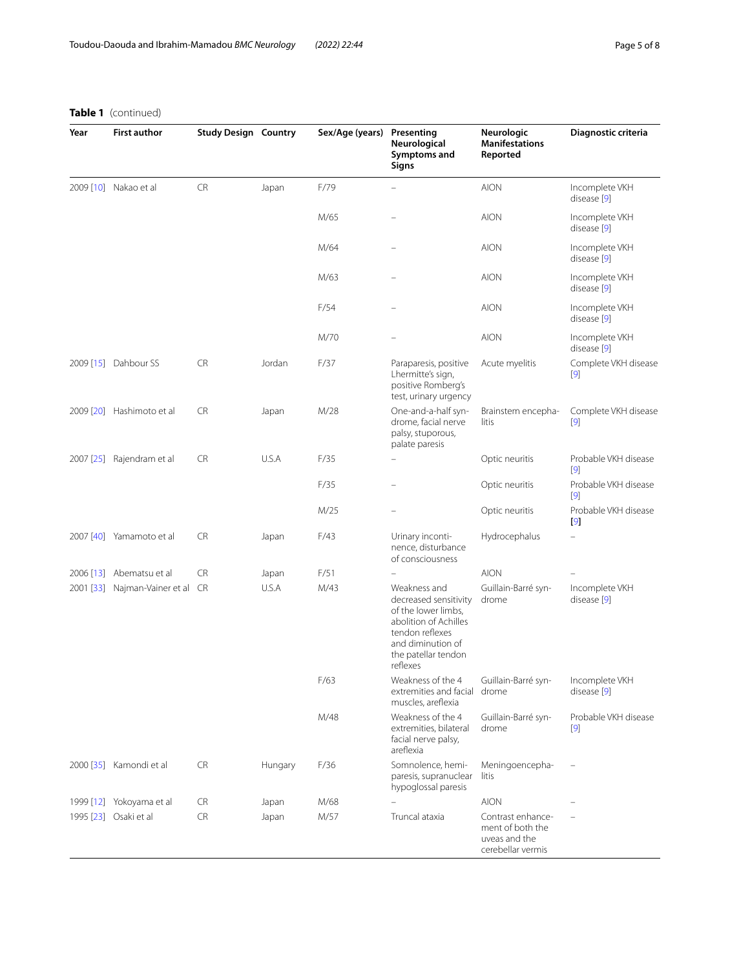# **Table 1** (continued)

| Year      | <b>First author</b>       | <b>Study Design Country</b> |         | Sex/Age (years) | Presenting<br>Neurological<br>Symptoms and<br><b>Signs</b>                                                                                                       | Neurologic<br><b>Manifestations</b><br>Reported                             | Diagnostic criteria           |
|-----------|---------------------------|-----------------------------|---------|-----------------|------------------------------------------------------------------------------------------------------------------------------------------------------------------|-----------------------------------------------------------------------------|-------------------------------|
|           | 2009 [10] Nakao et al     | <b>CR</b>                   | Japan   | F/79            |                                                                                                                                                                  | <b>AION</b>                                                                 | Incomplete VKH<br>disease [9] |
|           |                           |                             |         | M/65            | $\overline{\phantom{0}}$                                                                                                                                         | <b>AION</b>                                                                 | Incomplete VKH<br>disease [9] |
|           |                           |                             |         | M/64            | ÷                                                                                                                                                                | <b>AION</b>                                                                 | Incomplete VKH<br>disease [9] |
|           |                           |                             |         | M/63            |                                                                                                                                                                  | <b>AION</b>                                                                 | Incomplete VKH<br>disease [9] |
|           |                           |                             |         | F/54            |                                                                                                                                                                  | <b>AION</b>                                                                 | Incomplete VKH<br>disease [9] |
|           |                           |                             |         | M/70            |                                                                                                                                                                  | <b>AION</b>                                                                 | Incomplete VKH<br>disease [9] |
|           | 2009 [15] Dahbour SS      | CR                          | Jordan  | F/37            | Paraparesis, positive<br>Lhermitte's sign,<br>positive Romberg's<br>test, urinary urgency                                                                        | Acute myelitis                                                              | Complete VKH disease<br>$[9]$ |
|           | 2009 [20] Hashimoto et al | CR                          | Japan   | M/28            | One-and-a-half syn-<br>drome, facial nerve<br>palsy, stuporous,<br>palate paresis                                                                                | Brainstem encepha-<br>litis                                                 | Complete VKH disease<br>$[9]$ |
|           | 2007 [25] Rajendram et al | <b>CR</b>                   | U.S.A   | F/35            |                                                                                                                                                                  | Optic neuritis                                                              | Probable VKH disease<br>[9]   |
|           |                           |                             |         | F/35            |                                                                                                                                                                  | Optic neuritis                                                              | Probable VKH disease<br>[9]   |
|           |                           |                             |         | M/25            |                                                                                                                                                                  | Optic neuritis                                                              | Probable VKH disease<br>[9]   |
|           | 2007 [40] Yamamoto et al  | <b>CR</b>                   | Japan   | F/43            | Urinary inconti-<br>nence, disturbance<br>of consciousness                                                                                                       | Hydrocephalus                                                               | $\qquad \qquad -$             |
| 2006 [13] | Abematsu et al            | <b>CR</b>                   | Japan   | F/51            |                                                                                                                                                                  | <b>AION</b>                                                                 |                               |
| 2001 [33] | Najman-Vainer et al       | <b>CR</b>                   | U.S.A   | M/43            | Weakness and<br>decreased sensitivity<br>of the lower limbs,<br>abolition of Achilles<br>tendon reflexes<br>and diminution of<br>the patellar tendon<br>reflexes | Guillain-Barré syn-<br>drome                                                | Incomplete VKH<br>disease [9] |
|           |                           |                             |         | F/63            | Weakness of the 4<br>extremities and facial<br>muscles, areflexia                                                                                                | Guillain-Barré syn-<br>drome                                                | Incomplete VKH<br>disease [9] |
|           |                           |                             |         | M/48            | Weakness of the 4<br>extremities, bilateral<br>facial nerve palsy,<br>areflexia                                                                                  | Guillain-Barré syn-<br>drome                                                | Probable VKH disease<br>[9]   |
|           | 2000 [35] Kamondi et al   | CR                          | Hungary | F/36            | Somnolence, hemi-<br>paresis, supranuclear<br>hypoglossal paresis                                                                                                | Meningoencepha-<br>litis                                                    |                               |
|           | 1999 [12] Yokoyama et al  | CR                          | Japan   | M/68            |                                                                                                                                                                  | <b>AION</b>                                                                 |                               |
|           | 1995 [23] Osaki et al     | CR                          | Japan   | M/57            | Truncal ataxia                                                                                                                                                   | Contrast enhance-<br>ment of both the<br>uveas and the<br>cerebellar vermis |                               |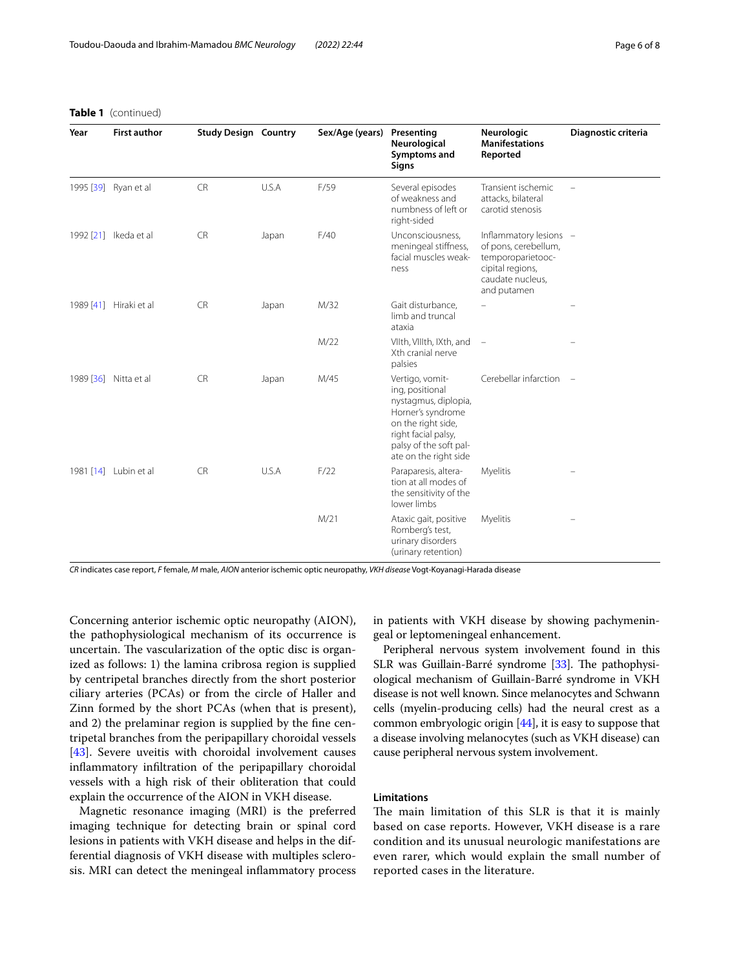| Year | <b>First author</b>    | <b>Study Design Country</b> |       | Sex/Age (years) | Presenting<br>Neurological<br>Symptoms and<br><b>Signs</b>                                                                                                                      | Neurologic<br><b>Manifestations</b><br>Reported                                                                            | Diagnostic criteria |
|------|------------------------|-----------------------------|-------|-----------------|---------------------------------------------------------------------------------------------------------------------------------------------------------------------------------|----------------------------------------------------------------------------------------------------------------------------|---------------------|
|      | 1995 [39] Ryan et al   | <b>CR</b>                   | U.S.A | F/59            | Several episodes<br>of weakness and<br>numbness of left or<br>right-sided                                                                                                       | Transient ischemic<br>attacks, bilateral<br>carotid stenosis                                                               |                     |
|      | 1992 [21] Ikeda et al  | <b>CR</b>                   | Japan | F/40            | Unconsciousness,<br>meningeal stiffness,<br>facial muscles weak-<br>ness                                                                                                        | Inflammatory lesions -<br>of pons, cerebellum,<br>temporoparietooc-<br>cipital regions,<br>caudate nucleus,<br>and putamen |                     |
|      | 1989 [41] Hiraki et al | <b>CR</b>                   | Japan | M/32            | Gait disturbance,<br>limb and truncal<br>ataxia                                                                                                                                 | -                                                                                                                          |                     |
|      |                        |                             |       | M/22            | Vilth, Villth, IXth, and<br>Xth cranial nerve<br>palsies                                                                                                                        | $\overline{\phantom{a}}$                                                                                                   |                     |
|      | 1989 [36] Nitta et al  | <b>CR</b>                   | Japan | M/45            | Vertigo, vomit-<br>ing, positional<br>nystagmus, diplopia,<br>Horner's syndrome<br>on the right side,<br>right facial palsy,<br>palsy of the soft pal-<br>ate on the right side | Cerebellar infarction -                                                                                                    |                     |
|      | 1981 [14] Lubin et al  | <b>CR</b>                   | U.S.A | F/22            | Paraparesis, altera-<br>tion at all modes of<br>the sensitivity of the<br>lower limbs                                                                                           | Myelitis                                                                                                                   |                     |
|      |                        |                             |       | M/21            | Ataxic gait, positive<br>Romberg's test,<br>urinary disorders<br>(urinary retention)                                                                                            | Myelitis                                                                                                                   |                     |

#### **Table 1** (continued)

*CR* indicates case report, *F* female, *M* male, *AION* anterior ischemic optic neuropathy, *VKH disease* Vogt-Koyanagi-Harada disease

Concerning anterior ischemic optic neuropathy (AION), the pathophysiological mechanism of its occurrence is uncertain. The vascularization of the optic disc is organized as follows: 1) the lamina cribrosa region is supplied by centripetal branches directly from the short posterior ciliary arteries (PCAs) or from the circle of Haller and Zinn formed by the short PCAs (when that is present), and 2) the prelaminar region is supplied by the fne centripetal branches from the peripapillary choroidal vessels [[43\]](#page-7-18). Severe uveitis with choroidal involvement causes infammatory infltration of the peripapillary choroidal vessels with a high risk of their obliteration that could explain the occurrence of the AION in VKH disease.

Magnetic resonance imaging (MRI) is the preferred imaging technique for detecting brain or spinal cord lesions in patients with VKH disease and helps in the differential diagnosis of VKH disease with multiples sclerosis. MRI can detect the meningeal infammatory process in patients with VKH disease by showing pachymeningeal or leptomeningeal enhancement.

Peripheral nervous system involvement found in this SLR was Guillain-Barré syndrome [\[33\]](#page-7-1). The pathophysiological mechanism of Guillain-Barré syndrome in VKH disease is not well known. Since melanocytes and Schwann cells (myelin-producing cells) had the neural crest as a common embryologic origin [\[44](#page-7-19)], it is easy to suppose that a disease involving melanocytes (such as VKH disease) can cause peripheral nervous system involvement.

# **Limitations**

The main limitation of this SLR is that it is mainly based on case reports. However, VKH disease is a rare condition and its unusual neurologic manifestations are even rarer, which would explain the small number of reported cases in the literature.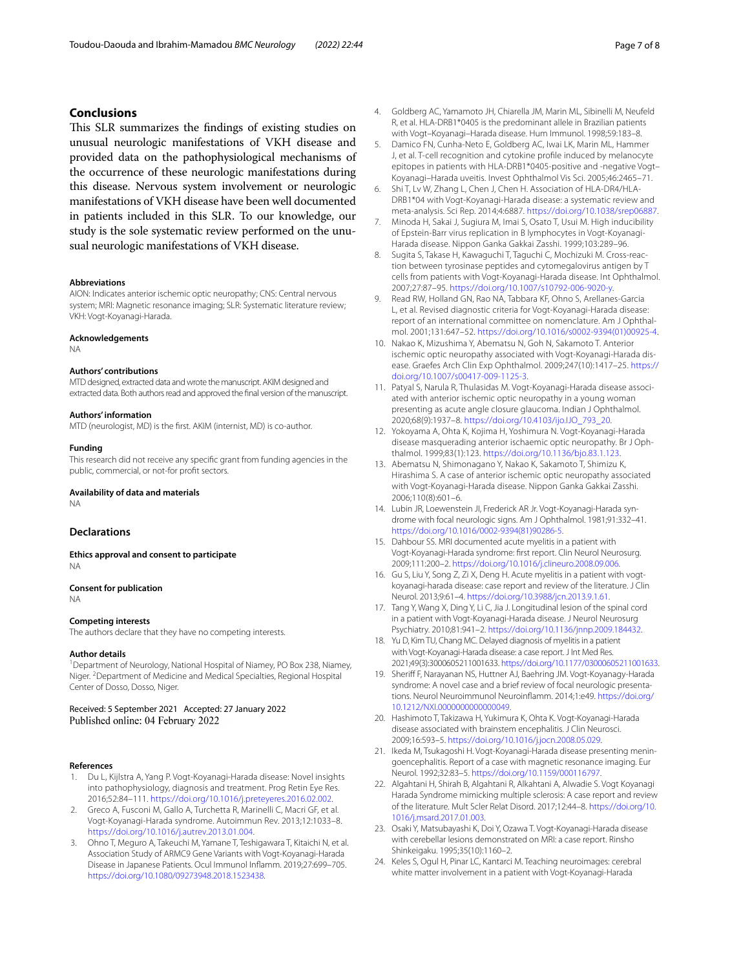# **Conclusions**

This SLR summarizes the findings of existing studies on unusual neurologic manifestations of VKH disease and provided data on the pathophysiological mechanisms of the occurrence of these neurologic manifestations during this disease. Nervous system involvement or neurologic manifestations of VKH disease have been well documented in patients included in this SLR. To our knowledge, our study is the sole systematic review performed on the unusual neurologic manifestations of VKH disease.

#### **Abbreviations**

AION: Indicates anterior ischemic optic neuropathy; CNS: Central nervous system; MRI: Magnetic resonance imaging; SLR: Systematic literature review; VKH: Vogt-Koyanagi-Harada.

#### **Acknowledgements**

NA

#### **Authors' contributions**

MTD designed, extracted data and wrote the manuscript. AKIM designed and extracted data. Both authors read and approved the fnal version of the manuscript.

#### **Authors' information**

MTD (neurologist, MD) is the frst. AKIM (internist, MD) is co-author.

#### **Funding**

This research did not receive any specifc grant from funding agencies in the public, commercial, or not-for proft sectors.

#### **Availability of data and materials**

NA

# **Declarations**

**Ethics approval and consent to participate** NA

### **Consent for publication**

NA

#### **Competing interests**

The authors declare that they have no competing interests.

#### **Author details**

<sup>1</sup> Department of Neurology, National Hospital of Niamey, PO Box 238, Niamey, Niger.<sup>2</sup> Department of Medicine and Medical Specialties, Regional Hospital Center of Dosso, Dosso, Niger.

Received: 5 September 2021 Accepted: 27 January 2022 Published online: 04 February 2022

#### **References**

- <span id="page-6-0"></span>1. Du L, Kijlstra A, Yang P. Vogt-Koyanagi-Harada disease: Novel insights into pathophysiology, diagnosis and treatment. Prog Retin Eye Res. 2016;52:84–111. [https://doi.org/10.1016/j.preteyeres.2016.02.002.](https://doi.org/10.1016/j.preteyeres.2016.02.002)
- <span id="page-6-1"></span>2. Greco A, Fusconi M, Gallo A, Turchetta R, Marinelli C, Macri GF, et al. Vogt-Koyanagi-Harada syndrome. Autoimmun Rev. 2013;12:1033–8. <https://doi.org/10.1016/j.autrev.2013.01.004>.
- <span id="page-6-2"></span>3. Ohno T, Meguro A, Takeuchi M, Yamane T, Teshigawara T, Kitaichi N, et al. Association Study of ARMC9 Gene Variants with Vogt-Koyanagi-Harada Disease in Japanese Patients. Ocul Immunol Infamm. 2019;27:699–705. <https://doi.org/10.1080/09273948.2018.1523438>.
- <span id="page-6-3"></span>4. Goldberg AC, Yamamoto JH, Chiarella JM, Marin ML, Sibinelli M, Neufeld R, et al. HLA-DRB1\*0405 is the predominant allele in Brazilian patients with Vogt–Koyanagi–Harada disease. Hum Immunol. 1998;59:183–8.
- <span id="page-6-4"></span>5. Damico FN, Cunha-Neto E, Goldberg AC, Iwai LK, Marin ML, Hammer J, et al. T-cell recognition and cytokine profle induced by melanocyte epitopes in patients with HLA-DRB1\*0405-positive and -negative Vogt– Koyanagi–Harada uveitis. Invest Ophthalmol Vis Sci. 2005;46:2465–71.
- <span id="page-6-5"></span>6. Shi T, Lv W, Zhang L, Chen J, Chen H. Association of HLA-DR4/HLA-DRB1\*04 with Vogt-Koyanagi-Harada disease: a systematic review and meta-analysis. Sci Rep. 2014;4:6887. <https://doi.org/10.1038/srep06887>.
- <span id="page-6-6"></span>7. Minoda H, Sakai J, Sugiura M, Imai S, Osato T, Usui M. High inducibility of Epstein-Barr virus replication in B lymphocytes in Vogt-Koyanagi-Harada disease. Nippon Ganka Gakkai Zasshi. 1999;103:289–96.
- <span id="page-6-7"></span>Sugita S, Takase H, Kawaguchi T, Taguchi C, Mochizuki M. Cross-reaction between tyrosinase peptides and cytomegalovirus antigen by T cells from patients with Vogt-Koyanagi-Harada disease. Int Ophthalmol. 2007;27:87–95. [https://doi.org/10.1007/s10792-006-9020-y.](https://doi.org/10.1007/s10792-006-9020-y)
- <span id="page-6-8"></span>9. Read RW, Holland GN, Rao NA, Tabbara KF, Ohno S, Arellanes-Garcia L, et al. Revised diagnostic criteria for Vogt-Koyanagi-Harada disease: report of an international committee on nomenclature. Am J Ophthalmol. 2001;131:647–52. [https://doi.org/10.1016/s0002-9394\(01\)00925-4](https://doi.org/10.1016/s0002-9394(01)00925-4).
- <span id="page-6-9"></span>10. Nakao K, Mizushima Y, Abematsu N, Goh N, Sakamoto T. Anterior ischemic optic neuropathy associated with Vogt-Koyanagi-Harada disease. Graefes Arch Clin Exp Ophthalmol. 2009;247(10):1417–25. [https://](https://doi.org/10.1007/s00417-009-1125-3) [doi.org/10.1007/s00417-009-1125-3.](https://doi.org/10.1007/s00417-009-1125-3)
- <span id="page-6-15"></span>11. Patyal S, Narula R, Thulasidas M. Vogt-Koyanagi-Harada disease associated with anterior ischemic optic neuropathy in a young woman presenting as acute angle closure glaucoma. Indian J Ophthalmol. 2020;68(9):1937–8. [https://doi.org/10.4103/ijo.IJO\\_793\\_20](https://doi.org/10.4103/ijo.IJO_793_20).
- <span id="page-6-21"></span>12. Yokoyama A, Ohta K, Kojima H, Yoshimura N. Vogt-Koyanagi-Harada disease masquerading anterior ischaemic optic neuropathy. Br J Ophthalmol. 1999;83(1):123. [https://doi.org/10.1136/bjo.83.1.123.](https://doi.org/10.1136/bjo.83.1.123)
- <span id="page-6-12"></span>13. Abematsu N, Shimonagano Y, Nakao K, Sakamoto T, Shimizu K, Hirashima S. A case of anterior ischemic optic neuropathy associated with Vogt-Koyanagi-Harada disease. Nippon Ganka Gakkai Zasshi. 2006;110(8):601–6.
- <span id="page-6-13"></span>14. Lubin JR, Loewenstein JI, Frederick AR Jr. Vogt-Koyanagi-Harada syndrome with focal neurologic signs. Am J Ophthalmol. 1981;91:332–41. [https://doi.org/10.1016/0002-9394\(81\)90286-5.](https://doi.org/10.1016/0002-9394(81)90286-5)
- <span id="page-6-19"></span>15. Dahbour SS. MRI documented acute myelitis in a patient with Vogt-Koyanagi-Harada syndrome: frst report. Clin Neurol Neurosurg. 2009;111:200–2. [https://doi.org/10.1016/j.clineuro.2008.09.006.](https://doi.org/10.1016/j.clineuro.2008.09.006)
- <span id="page-6-17"></span>16. Gu S, Liu Y, Song Z, Zi X, Deng H. Acute myelitis in a patient with vogtkoyanagi-harada disease: case report and review of the literature. J Clin Neurol. 2013;9:61–4. [https://doi.org/10.3988/jcn.2013.9.1.61.](https://doi.org/10.3988/jcn.2013.9.1.61)
- <span id="page-6-18"></span>17. Tang Y, Wang X, Ding Y, Li C, Jia J. Longitudinal lesion of the spinal cord in a patient with Vogt-Koyanagi-Harada disease. J Neurol Neurosurg Psychiatry. 2010;81:941–2.<https://doi.org/10.1136/jnnp.2009.184432>.
- <span id="page-6-14"></span>18. Yu D, Kim TU, Chang MC. Delayed diagnosis of myelitis in a patient with Vogt-Koyanagi-Harada disease: a case report. J Int Med Res. 2021;49(3):3000605211001633.<https://doi.org/10.1177/03000605211001633>.
- <span id="page-6-10"></span>19. Sherif F, Narayanan NS, Huttner AJ, Baehring JM. Vogt-Koyanagy-Harada syndrome: A novel case and a brief review of focal neurologic presentations. Neurol Neuroimmunol Neuroinfamm. 2014;1:e49. [https://doi.org/](https://doi.org/10.1212/NXI.0000000000000049) [10.1212/NXI.0000000000000049.](https://doi.org/10.1212/NXI.0000000000000049)
- <span id="page-6-20"></span>20. Hashimoto T, Takizawa H, Yukimura K, Ohta K. Vogt-Koyanagi-Harada disease associated with brainstem encephalitis. J Clin Neurosci. 2009;16:593–5. <https://doi.org/10.1016/j.jocn.2008.05.029>.
- <span id="page-6-23"></span>21. Ikeda M, Tsukagoshi H. Vogt-Koyanagi-Harada disease presenting meningoencephalitis. Report of a case with magnetic resonance imaging. Eur Neurol. 1992;32:83–5. [https://doi.org/10.1159/000116797.](https://doi.org/10.1159/000116797)
- <span id="page-6-16"></span>22. Algahtani H, Shirah B, Algahtani R, Alkahtani A, Alwadie S. Vogt Koyanagi Harada Syndrome mimicking multiple sclerosis: A case report and review of the literature. Mult Scler Relat Disord. 2017;12:44–8. [https://doi.org/10.](https://doi.org/10.1016/j.msard.2017.01.003) [1016/j.msard.2017.01.003](https://doi.org/10.1016/j.msard.2017.01.003).
- <span id="page-6-22"></span>23. Osaki Y, Matsubayashi K, Doi Y, Ozawa T. Vogt-Koyanagi-Harada disease with cerebellar lesions demonstrated on MRI: a case report. Rinsho Shinkeigaku. 1995;35(10):1160–2.
- <span id="page-6-11"></span>24. Keles S, Ogul H, Pinar LC, Kantarci M. Teaching neuroimages: cerebral white matter involvement in a patient with Vogt-Koyanagi-Harada